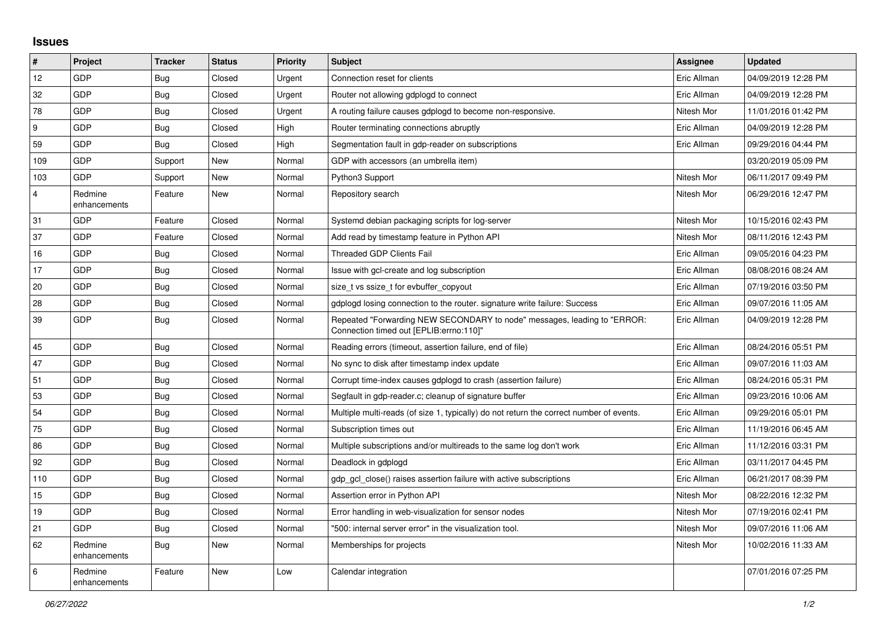## **Issues**

| $\vert$ #      | Project                 | <b>Tracker</b> | <b>Status</b> | <b>Priority</b> | <b>Subject</b>                                                                                                      | Assignee    | <b>Updated</b>      |
|----------------|-------------------------|----------------|---------------|-----------------|---------------------------------------------------------------------------------------------------------------------|-------------|---------------------|
| 12             | GDP                     | <b>Bug</b>     | Closed        | Urgent          | Connection reset for clients                                                                                        | Eric Allman | 04/09/2019 12:28 PM |
| 32             | GDP                     | Bug            | Closed        | Urgent          | Router not allowing gdplogd to connect                                                                              | Eric Allman | 04/09/2019 12:28 PM |
| 78             | <b>GDP</b>              | Bug            | Closed        | Urgent          | A routing failure causes gdplogd to become non-responsive.                                                          | Nitesh Mor  | 11/01/2016 01:42 PM |
| 9              | GDP                     | Bug            | Closed        | High            | Router terminating connections abruptly                                                                             | Eric Allman | 04/09/2019 12:28 PM |
| 59             | GDP                     | Bug            | Closed        | High            | Segmentation fault in gdp-reader on subscriptions                                                                   | Eric Allman | 09/29/2016 04:44 PM |
| 109            | GDP                     | Support        | New           | Normal          | GDP with accessors (an umbrella item)                                                                               |             | 03/20/2019 05:09 PM |
| 103            | <b>GDP</b>              | Support        | New           | Normal          | Python3 Support                                                                                                     | Nitesh Mor  | 06/11/2017 09:49 PM |
| $\overline{4}$ | Redmine<br>enhancements | Feature        | <b>New</b>    | Normal          | Repository search                                                                                                   | Nitesh Mor  | 06/29/2016 12:47 PM |
| 31             | GDP                     | Feature        | Closed        | Normal          | Systemd debian packaging scripts for log-server                                                                     | Nitesh Mor  | 10/15/2016 02:43 PM |
| 37             | GDP                     | Feature        | Closed        | Normal          | Add read by timestamp feature in Python API                                                                         | Nitesh Mor  | 08/11/2016 12:43 PM |
| 16             | GDP                     | <b>Bug</b>     | Closed        | Normal          | <b>Threaded GDP Clients Fail</b>                                                                                    | Eric Allman | 09/05/2016 04:23 PM |
| 17             | <b>GDP</b>              | <b>Bug</b>     | Closed        | Normal          | Issue with gcl-create and log subscription                                                                          | Eric Allman | 08/08/2016 08:24 AM |
| 20             | GDP                     | Bug            | Closed        | Normal          | size t vs ssize t for evbuffer copyout                                                                              | Eric Allman | 07/19/2016 03:50 PM |
| 28             | GDP                     | <b>Bug</b>     | Closed        | Normal          | gdplogd losing connection to the router, signature write failure: Success                                           | Eric Allman | 09/07/2016 11:05 AM |
| 39             | <b>GDP</b>              | <b>Bug</b>     | Closed        | Normal          | Repeated "Forwarding NEW SECONDARY to node" messages, leading to "ERROR:<br>Connection timed out [EPLIB:errno:110]" | Eric Allman | 04/09/2019 12:28 PM |
| 45             | GDP                     | <b>Bug</b>     | Closed        | Normal          | Reading errors (timeout, assertion failure, end of file)                                                            | Eric Allman | 08/24/2016 05:51 PM |
| 47             | <b>GDP</b>              | <b>Bug</b>     | Closed        | Normal          | No sync to disk after timestamp index update                                                                        | Eric Allman | 09/07/2016 11:03 AM |
| 51             | GDP                     | Bug            | Closed        | Normal          | Corrupt time-index causes gdplogd to crash (assertion failure)                                                      | Eric Allman | 08/24/2016 05:31 PM |
| 53             | GDP                     | Bug            | Closed        | Normal          | Segfault in gdp-reader.c; cleanup of signature buffer                                                               | Eric Allman | 09/23/2016 10:06 AM |
| 54             | <b>GDP</b>              | Bug            | Closed        | Normal          | Multiple multi-reads (of size 1, typically) do not return the correct number of events.                             | Eric Allman | 09/29/2016 05:01 PM |
| 75             | <b>GDP</b>              | <b>Bug</b>     | Closed        | Normal          | Subscription times out                                                                                              | Eric Allman | 11/19/2016 06:45 AM |
| 86             | GDP                     | Bug            | Closed        | Normal          | Multiple subscriptions and/or multireads to the same log don't work                                                 | Eric Allman | 11/12/2016 03:31 PM |
| 92             | <b>GDP</b>              | <b>Bug</b>     | Closed        | Normal          | Deadlock in gdplogd                                                                                                 | Eric Allman | 03/11/2017 04:45 PM |
| 110            | GDP                     | <b>Bug</b>     | Closed        | Normal          | gdp_gcl_close() raises assertion failure with active subscriptions                                                  | Eric Allman | 06/21/2017 08:39 PM |
| 15             | GDP                     | <b>Bug</b>     | Closed        | Normal          | Assertion error in Python API                                                                                       | Nitesh Mor  | 08/22/2016 12:32 PM |
| 19             | <b>GDP</b>              | Bug            | Closed        | Normal          | Error handling in web-visualization for sensor nodes                                                                | Nitesh Mor  | 07/19/2016 02:41 PM |
| 21             | GDP                     | Bug            | Closed        | Normal          | "500: internal server error" in the visualization tool.                                                             | Nitesh Mor  | 09/07/2016 11:06 AM |
| 62             | Redmine<br>enhancements | <b>Bug</b>     | New           | Normal          | Memberships for projects                                                                                            | Nitesh Mor  | 10/02/2016 11:33 AM |
| 6              | Redmine<br>enhancements | Feature        | New           | Low             | Calendar integration                                                                                                |             | 07/01/2016 07:25 PM |